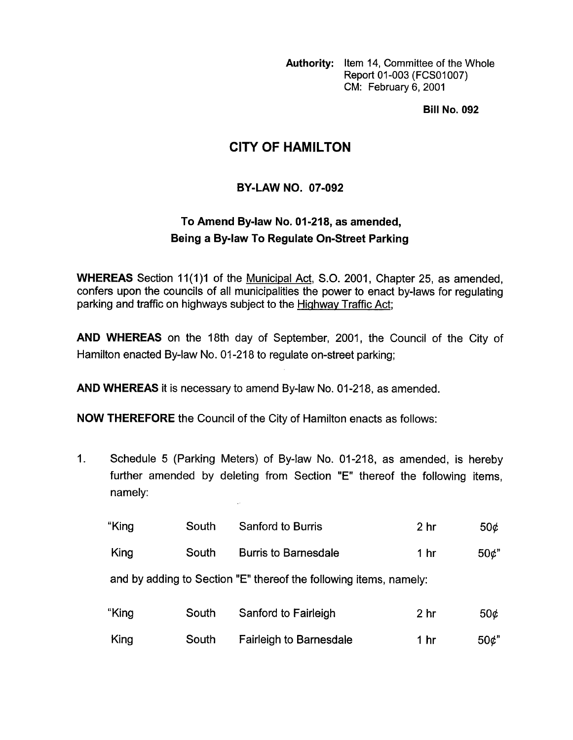**Authority:** Item 14, Committee of the Whole Report 01-003 (FCS01007) CM: February 6,2001

**Bill No. 092** 

## **CITY OF HAMILTON**

## **BY-LAW NO. 07-092**

## **To Amend Bylaw No. 01-218, as amended, Being a Bylaw To Regulate On-Street Parking**

**WHEREAS** Section 11(1)1 of the Municipal Act, S.O. 2001, Chapter 25, as amended, confers upon the councils of all municipalities the power to enact by-laws for regulating parking and traffic on highways subject to the Hiqhway Traffic Act;

**AND WHEREAS** on the 18th day of September, 2001, the Council of the City of Hamilton enacted By-law No. 01-218 to regulate on-street parking;

**AND WHEREAS** it is necessary to amend By-law No. 01-218, as amended.

**NOW THEREFORE** the Council of the City of Hamilton enacts as follows:

1. Schedule 5 (Parking Meters) of By-law No. 01-218, as amended, is hereby further amended by deleting from Section "E" thereof the following items, namely:

| "King                                                             | South | <b>Sanford to Burris</b>    | 2 <sub>hr</sub> | 50 <sub>c</sub> |  |
|-------------------------------------------------------------------|-------|-----------------------------|-----------------|-----------------|--|
| King                                                              | South | <b>Burris to Barnesdale</b> | 1 hr            | 50 <sup>t</sup> |  |
| and by adding to Section "E" thereof the following items, namely: |       |                             |                 |                 |  |

| "King | South | Sanford to Fairleigh           | 2 hr | 50¢             |
|-------|-------|--------------------------------|------|-----------------|
| King  | South | <b>Fairleigh to Barnesdale</b> | 1 hr | 50 <sup>o</sup> |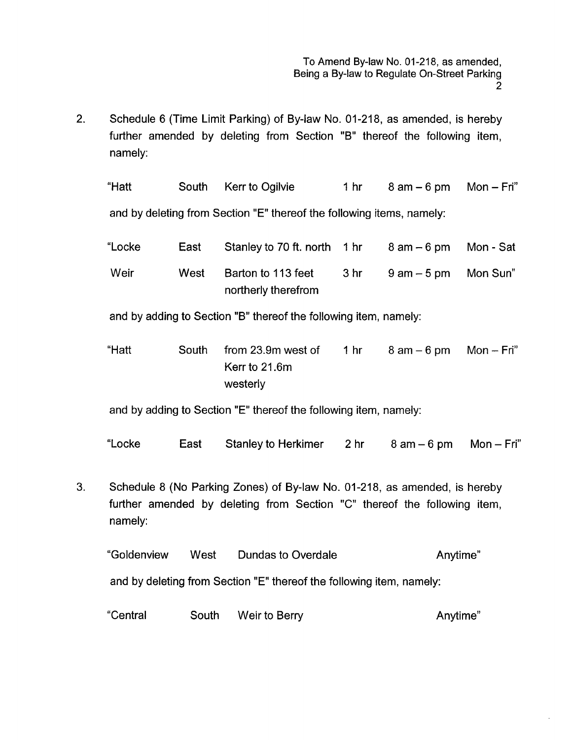2. Schedule 6 (Time Limit Parking) of By-law No. 01-218, as amended, is hereby further amended by deleting from Section "B" thereof the following item, namely:

| "Hatt                                                            | South | Kerr to Ogilvie                                                       | 1 hr            | $8$ am $-6$ pm | $Mon - Fri''$ |
|------------------------------------------------------------------|-------|-----------------------------------------------------------------------|-----------------|----------------|---------------|
|                                                                  |       | and by deleting from Section "E" thereof the following items, namely: |                 |                |               |
| "Locke                                                           | East  | Stanley to 70 ft. north                                               | 1 <sub>hr</sub> | $8$ am $-6$ pm | Mon - Sat     |
| Weir                                                             | West  | Barton to 113 feet<br>northerly therefrom                             | 3 <sub>hr</sub> | $9$ am $-5$ pm | Mon Sun"      |
| and by adding to Section "B" thereof the following item, namely: |       |                                                                       |                 |                |               |

"Hatt South from 23.9m west of 1 hr 8 am - 6 pm Mon - Fri" Kerr to 21.6m westerly

and by adding to Section "E" thereof the following item, namely:

"Locke East Stanley to Herkimer 2 hr 8 am - 6 pm Mon - Fri"

3. Schedule 8 (No Parking Zones) of By-law No. 01-218, as amended, is hereby further amended by deleting from Section "C" thereof the following item, namely:

"Goldenview West Dundas to Overdale Anytime'' and by deleting from Section "E" thereof the following item, namely:

"Central South Weir to Berry **Anytime**"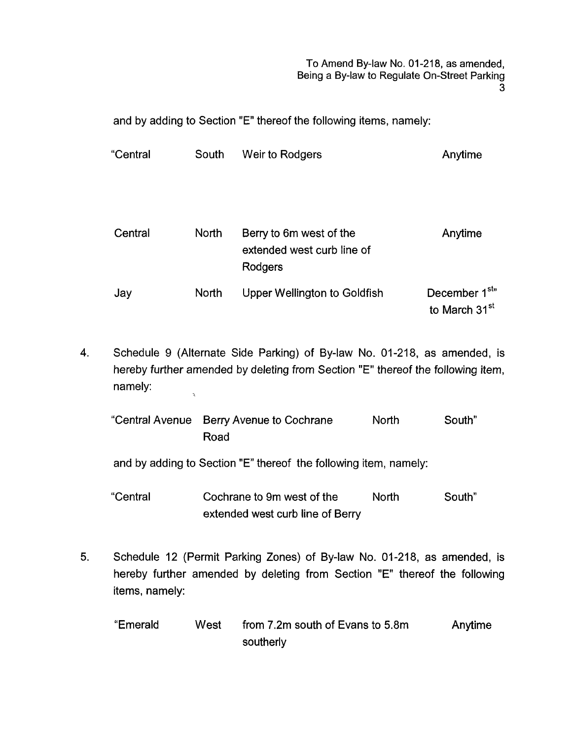To Amend By-law No. 01-218, as amended, Being a By-law *to* Regulate On-Street Parking 3

and by adding to Section "E" thereof the following items, namely:

| "Central | South        | Weir to Rodgers                                                  | Anytime                                                            |
|----------|--------------|------------------------------------------------------------------|--------------------------------------------------------------------|
| Central  | <b>North</b> | Berry to 6m west of the<br>extended west curb line of<br>Rodgers | Anytime                                                            |
| Jay      | <b>North</b> | <b>Upper Wellington to Goldfish</b>                              | December 1 <sup>st</sup> <sup>n</sup><br>to March 31 <sup>st</sup> |

**4.** Schedule 9 (Alternate Side Parking) of By-law No. 01-218, as amended, is hereby further amended by deleting from Section "E" thereof the following item, namely:  $\lambda$ 

| "Central Avenue Berry Avenue to Cochrane | <b>North</b> | South" |
|------------------------------------------|--------------|--------|
| Road                                     |              |        |

and by adding to Section "E" thereof the following item, namely:

"Central Cochrane to 9m west of the North South" extended west curb line of Berry

- **5.** Schedule 12 (Permit Parking Zones) of By-law No. 01-218, as amended, is hereby further amended by deleting from Section "E" thereof the following items, namely:
	- *If* Emerald West from 7.2m south of Evans to 5.8m Anytime southerly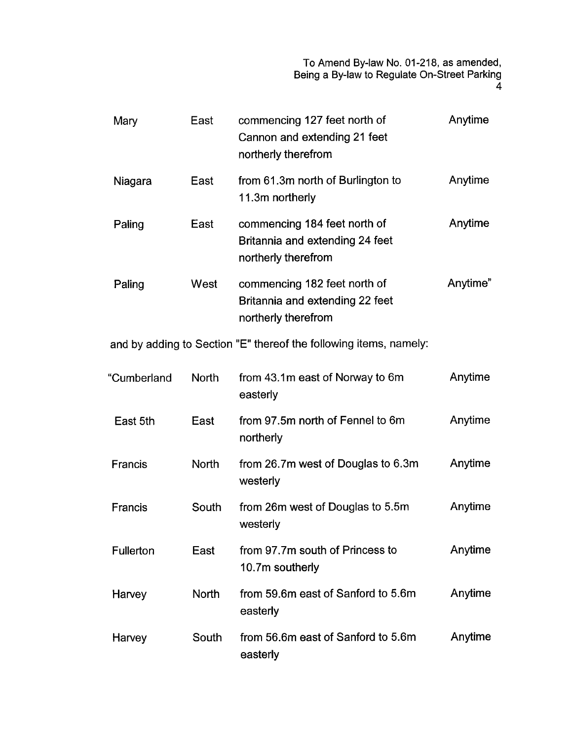To Amend By-law No. 01-218, as amended, Being a By-law to Regulate On-Street Parking

| Mary             | East         | commencing 127 feet north of<br>Cannon and extending 21 feet<br>northerly therefrom    | Anytime  |
|------------------|--------------|----------------------------------------------------------------------------------------|----------|
| Niagara          | East         | from 61.3m north of Burlington to<br>11.3m northerly                                   | Anytime  |
| Paling           | East         | commencing 184 feet north of<br>Britannia and extending 24 feet<br>northerly therefrom | Anytime  |
| Paling           | West         | commencing 182 feet north of<br>Britannia and extending 22 feet<br>northerly therefrom | Anytime" |
|                  |              | and by adding to Section "E" thereof the following items, namely:                      |          |
| "Cumberland      | <b>North</b> | from 43.1m east of Norway to 6m<br>easterly                                            | Anytime  |
| East 5th         | East         | from 97.5m north of Fennel to 6m<br>northerly                                          | Anytime  |
| <b>Francis</b>   | <b>North</b> | from 26.7m west of Douglas to 6.3m<br>westerly                                         | Anytime  |
| <b>Francis</b>   | South        | from 26m west of Douglas to 5.5m<br>westerly                                           | Anytime  |
| <b>Fullerton</b> | East         | from 97.7m south of Princess to<br>10.7m southerly                                     | Anytime  |
| Harvey           | <b>North</b> | from 59.6m east of Sanford to 5.6m<br>easterly                                         | Anytime  |
| Harvey           | South        | from 56.6m east of Sanford to 5.6m<br>easterly                                         | Anytime  |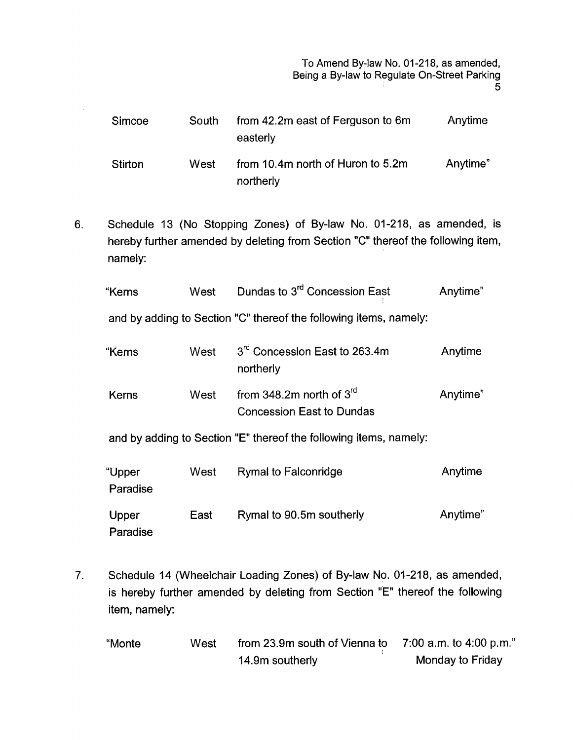To Amend By-law No. 01-218, as amended, Being a By-law to Regulate On-Street Parking 5

| <b>Simcoe</b>  | South | from 42.2m east of Ferguson to 6m<br>easterly  | Anytime  |
|----------------|-------|------------------------------------------------|----------|
| <b>Stirton</b> | West  | from 10.4m north of Huron to 5.2m<br>northerly | Anytime" |

6. Schedule 13 (No Stopping Zones) of By-law No. 01-218, as amended, is hereby further amended by deleting from Section "C" thereof the following item, namely:

| "Kerns | West | Dundas to 3 <sup>rd</sup> Concession East | Anytime" |
|--------|------|-------------------------------------------|----------|
|        |      |                                           |          |

and by adding to Section "C" thereof the following items, namely:

| "Kerns | West | 3 <sup>rd</sup> Concession East to 263.4m<br>northerly | Anytime  |
|--------|------|--------------------------------------------------------|----------|
| Kerns  | West | from 348.2m north of $3^{rd}$                          | Anytime" |
|        |      | <b>Concession East to Dundas</b>                       |          |

and by adding to Section "E" thereof the following items, namely:

| "Upper<br>Paradise | West | <b>Rymal to Falconridge</b> | Anytime  |
|--------------------|------|-----------------------------|----------|
| Upper<br>Paradise  | East | Rymal to 90.5m southerly    | Anytime" |

7. Schedule 14 (Wheelchair Loading Zones) of By-law No. 01-218, as amended, is hereby further amended by deleting from Section "E" thereof the following item, namely:

| "Monte | West | from 23.9m south of Vienna to | 7:00 a.m. to 4:00 p.m." |
|--------|------|-------------------------------|-------------------------|
|        |      | 14.9m southerly               | Monday to Friday        |